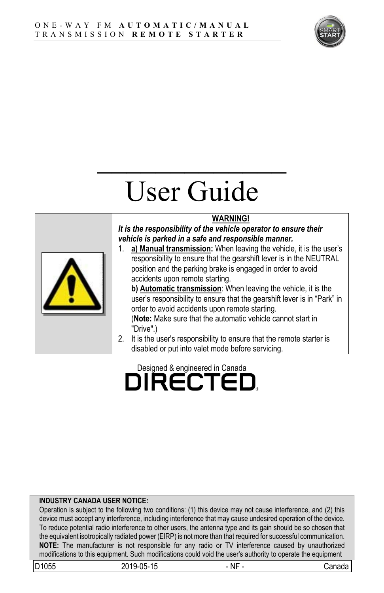

# User Guide

 $\mathcal{L}_\text{max}$ 

#### **WARNING!**

*It is the responsibility of the vehicle operator to ensure their vehicle is parked in a safe and responsible manner.*



1. **a) Manual transmission:** When leaving the vehicle, it is the user's responsibility to ensure that the gearshift lever is in the NEUTRAL position and the parking brake is engaged in order to avoid accidents upon remote starting.

**b) Automatic transmission**: When leaving the vehicle, it is the user's responsibility to ensure that the gearshift lever is in "Park" in order to avoid accidents upon remote starting.

(**Note:** Make sure that the automatic vehicle cannot start in "Drive".)

2. It is the user's responsibility to ensure that the remote starter is disabled or put into valet mode before servicing.

# Designed & engineered in Canada<br> **DIRECTED**

#### **INDUSTRY CANADA USER NOTICE:**

Operation is subject to the following two conditions: (1) this device may not cause interference, and (2) this device must accept any interference, including interference that may cause undesired operation of the device. To reduce potential radio interference to other users, the antenna type and its gain should be so chosen that the equivalent isotropically radiated power (EIRP) is not more than that required for successful communication. **NOTE:** The manufacturer is not responsible for any radio or TV interference caused by unauthorized modifications to this equipment. Such modifications could void the user's authority to operate the equipment

| D1055 | $2019-05-$<br>4E<br>™~∪ພ<br>نڌا<br>10<br>∸ | <br>Νŀ | anadaٽ |
|-------|--------------------------------------------|--------|--------|
|       |                                            |        |        |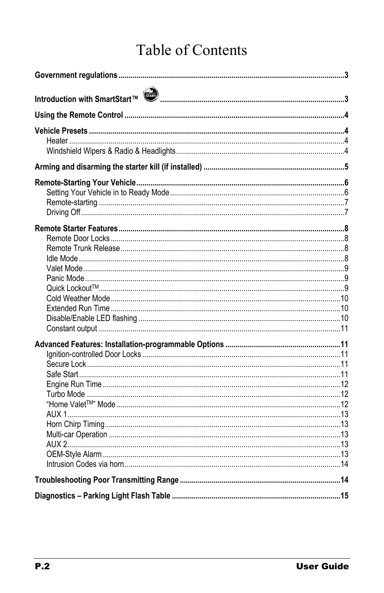# Table of Contents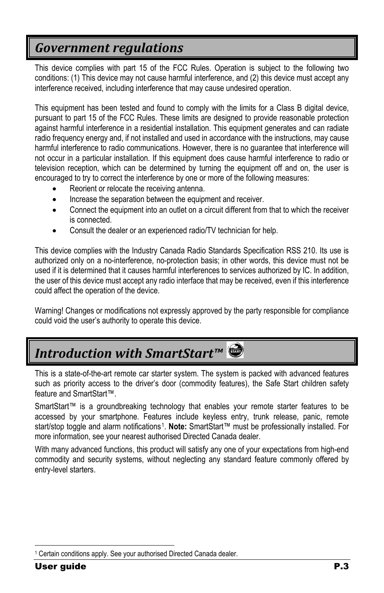## <span id="page-2-0"></span>*Government regulations*

This device complies with part 15 of the FCC Rules. Operation is subject to the following two conditions: (1) This device may not cause harmful interference, and (2) this device must accept any interference received, including interference that may cause undesired operation.

This equipment has been tested and found to comply with the limits for a Class B digital device, pursuant to part 15 of the FCC Rules. These limits are designed to provide reasonable protection against harmful interference in a residential installation. This equipment generates and can radiate radio frequency energy and, if not installed and used in accordance with the instructions, may cause harmful interference to radio communications. However, there is no guarantee that interference will not occur in a particular installation. If this equipment does cause harmful interference to radio or television reception, which can be determined by turning the equipment off and on, the user is encouraged to try to correct the interference by one or more of the following measures:

- Reorient or relocate the receiving antenna.
- Increase the separation between the equipment and receiver.
- Connect the equipment into an outlet on a circuit different from that to which the receiver is connected.
- Consult the dealer or an experienced radio/TV technician for help.

This device complies with the Industry Canada Radio Standards Specification RSS 210. Its use is authorized only on a no-interference, no-protection basis; in other words, this device must not be used if it is determined that it causes harmful interferences to services authorized by IC. In addition, the user of this device must accept any radio interface that may be received, even if this interference could affect the operation of the device.

Warning! Changes or modifications not expressly approved by the party responsible for compliance could void the user's authority to operate this device.

# <span id="page-2-1"></span>*Introduction with SmartStart™*

This is a state-of-the-art remote car starter system. The system is packed with advanced features such as priority access to the driver's door (commodity features), the Safe Start children safety feature and SmartStart™.

SmartStart™ is a groundbreaking technology that enables your remote starter features to be accessed by your smartphone. Features include keyless entry, trunk release, panic, remote start/stop toggle and alarm notifications<sup>[1](#page-2-2)</sup>. **Note:** SmartStart™ must be professionally installed. For more information, see your nearest authorised Directed Canada dealer.

With many advanced functions, this product will satisfy any one of your expectations from high-end commodity and security systems, without neglecting any standard feature commonly offered by entry-level starters.

<span id="page-2-2"></span> <sup>1</sup> Certain conditions apply. See your authorised Directed Canada dealer.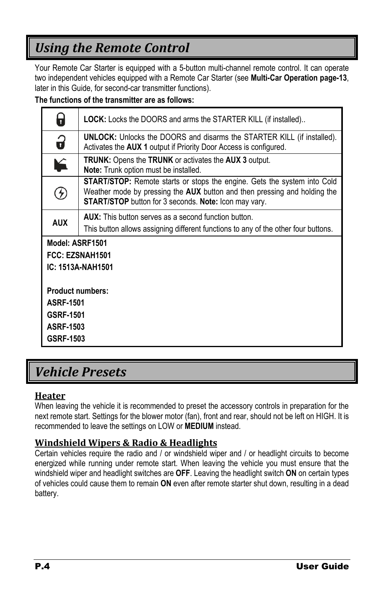# <span id="page-3-0"></span>*Using the Remote Control*

Your Remote Car Starter is equipped with a 5-button multi-channel remote control. It can operate two independent vehicles equipped with a Remote Car Starter (see **Multi-Car Operation pag[e-13](#page-12-2)**, later in this Guide, for second-car transmitter functions).

#### **The functions of the transmitter are as follows:**

| Η                       | <b>LOCK:</b> Locks the DOORS and arms the STARTER KILL (if installed)                                                                                                                                                 |
|-------------------------|-----------------------------------------------------------------------------------------------------------------------------------------------------------------------------------------------------------------------|
| 3                       | <b>UNLOCK:</b> Unlocks the DOORS and disarms the STARTER KILL (if installed).<br>Activates the AUX 1 output if Priority Door Access is configured.                                                                    |
| ¥                       | <b>TRUNK:</b> Opens the <b>TRUNK</b> or activates the <b>AUX</b> 3 output.<br>Note: Trunk option must be installed.                                                                                                   |
| 4                       | START/STOP: Remote starts or stops the engine. Gets the system into Cold<br>Weather mode by pressing the AUX button and then pressing and holding the<br><b>START/STOP</b> button for 3 seconds. Note: Icon may vary. |
| <b>AUX</b>              | <b>AUX:</b> This button serves as a second function button.                                                                                                                                                           |
|                         | This button allows assigning different functions to any of the other four buttons.                                                                                                                                    |
| Model: ASRF1501         |                                                                                                                                                                                                                       |
|                         | FCC: EZSNAH1501                                                                                                                                                                                                       |
| IC: 1513A-NAH1501       |                                                                                                                                                                                                                       |
| <b>Product numbers:</b> |                                                                                                                                                                                                                       |
| <b>ASRF-1501</b>        |                                                                                                                                                                                                                       |
| <b>GSRF-1501</b>        |                                                                                                                                                                                                                       |
| <b>ASRF-1503</b>        |                                                                                                                                                                                                                       |
| GSRF-1503               |                                                                                                                                                                                                                       |

### <span id="page-3-1"></span>*Vehicle Presets*

#### <span id="page-3-2"></span>**Heater**

When leaving the vehicle it is recommended to preset the accessory controls in preparation for the next remote start. Settings for the blower motor (fan), front and rear, should not be left on HIGH. It is recommended to leave the settings on LOW or **MEDIUM** instead.

#### <span id="page-3-3"></span>**Windshield Wipers & Radio & Headlights**

Certain vehicles require the radio and / or windshield wiper and / or headlight circuits to become energized while running under remote start. When leaving the vehicle you must ensure that the windshield wiper and headlight switches are **OFF**. Leaving the headlight switch **ON** on certain types of vehicles could cause them to remain **ON** even after remote starter shut down, resulting in a dead battery.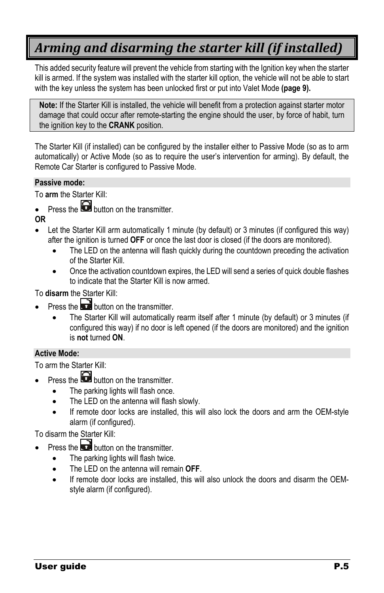# <span id="page-4-0"></span>*Arming and disarming the starter kill (if installed)*

This added security feature will prevent the vehicle from starting with the Ignition key when the starter kill is armed. If the system was installed with the starter kill option, the vehicle will not be able to start with the key unless the system has been unlocked first or put into Valet Mode **(page [9\)](#page-8-0).**

**Note:** If the Starter Kill is installed, the vehicle will benefit from a protection against starter motor damage that could occur after remote-starting the engine should the user, by force of habit, turn the ignition key to the **CRANK** position.

The Starter Kill (if installed) can be configured by the installer either to Passive Mode (so as to arm automatically) or Active Mode (so as to require the user's intervention for arming). By default, the Remote Car Starter is configured to Passive Mode.

#### **Passive mode:**

To **arm** the Starter Kill:

- Press the **button** on the transmitter.
- **OR**
- Let the Starter Kill arm automatically 1 minute (by default) or 3 minutes (if configured this way) after the ignition is turned **OFF** or once the last door is closed (if the doors are monitored).
	- The LED on the antenna will flash quickly during the countdown preceding the activation of the Starter Kill.
	- Once the activation countdown expires, the LED will send a series of quick double flashes to indicate that the Starter Kill is now armed.

To **disarm** the Starter Kill:

- **Press the button on the transmitter** 
	- The Starter Kill will automatically rearm itself after 1 minute (by default) or 3 minutes (if configured this way) if no door is left opened (if the doors are monitored) and the ignition is **not** turned **ON**.

#### **Active Mode:**

To arm the Starter Kill:

- Press the  $\bigodot$  button on the transmitter.
	- The parking lights will flash once.
	- The LED on the antenna will flash slowly.
	- If remote door locks are installed, this will also lock the doors and arm the OEM-style alarm (if configured).

To disarm the Starter Kill:

- Press the  $\Box$  button on the transmitter.
	- The parking lights will flash twice.
	- The LED on the antenna will remain **OFF**.
	- If remote door locks are installed, this will also unlock the doors and disarm the OEMstyle alarm (if configured).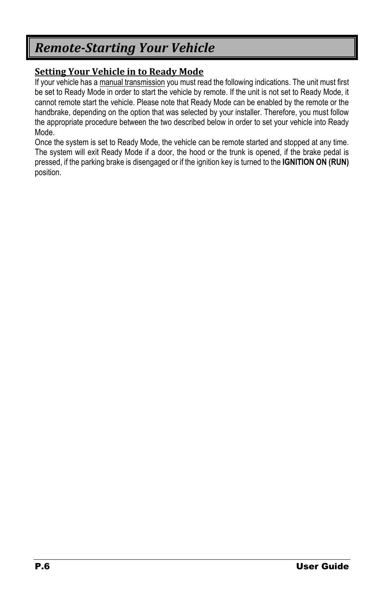## <span id="page-5-0"></span>*Remote-Starting Your Vehicle*

#### <span id="page-5-1"></span>**Setting Your Vehicle in to Ready Mode**

If your vehicle has a manual transmission you must read the following indications. The unit must first be set to Ready Mode in order to start the vehicle by remote. If the unit is not set to Ready Mode, it cannot remote start the vehicle. Please note that Ready Mode can be enabled by the remote or the handbrake, depending on the option that was selected by your installer. Therefore, you must follow the appropriate procedure between the two described below in order to set your vehicle into Ready Mode.

Once the system is set to Ready Mode, the vehicle can be remote started and stopped at any time. The system will exit Ready Mode if a door, the hood or the trunk is opened, if the brake pedal is pressed, if the parking brake is disengaged or if the ignition key is turned to the **IGNITION ON (RUN)** position.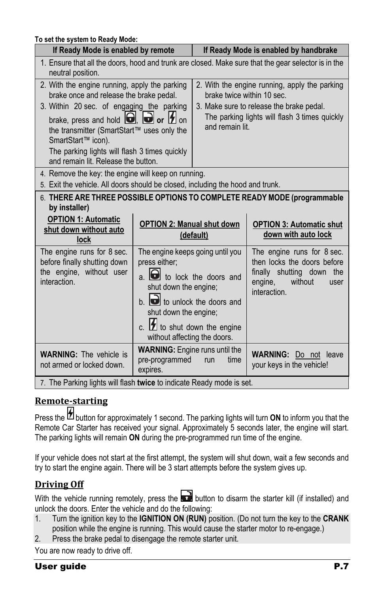| To set the system to Ready Mode:                                                                                                                                                                                                                                                                                                                        |                                                                                                                                                                                                                                                                                 |                                                                                                                                                                                             |                                                                                                                                      |
|---------------------------------------------------------------------------------------------------------------------------------------------------------------------------------------------------------------------------------------------------------------------------------------------------------------------------------------------------------|---------------------------------------------------------------------------------------------------------------------------------------------------------------------------------------------------------------------------------------------------------------------------------|---------------------------------------------------------------------------------------------------------------------------------------------------------------------------------------------|--------------------------------------------------------------------------------------------------------------------------------------|
| If Ready Mode is enabled by remote                                                                                                                                                                                                                                                                                                                      |                                                                                                                                                                                                                                                                                 |                                                                                                                                                                                             | If Ready Mode is enabled by handbrake                                                                                                |
| neutral position.                                                                                                                                                                                                                                                                                                                                       |                                                                                                                                                                                                                                                                                 |                                                                                                                                                                                             | 1. Ensure that all the doors, hood and trunk are closed. Make sure that the gear selector is in the                                  |
| 2. With the engine running, apply the parking<br>brake once and release the brake pedal.<br>3. Within 20 sec. of engaging the parking<br>brake, press and hold $\Box$ , $\Box$ or $\Box$ on<br>the transmitter (SmartStart™ uses only the<br>SmartStart™ icon).<br>The parking lights will flash 3 times quickly<br>and remain lit. Release the button. |                                                                                                                                                                                                                                                                                 | 2. With the engine running, apply the parking<br>brake twice within 10 sec.<br>3. Make sure to release the brake pedal.<br>The parking lights will flash 3 times quickly<br>and remain lit. |                                                                                                                                      |
| 4. Remove the key: the engine will keep on running.<br>5. Exit the vehicle. All doors should be closed, including the hood and trunk.                                                                                                                                                                                                                   |                                                                                                                                                                                                                                                                                 |                                                                                                                                                                                             |                                                                                                                                      |
| by installer)<br><b>OPTION 1: Automatic</b><br>shut down without auto                                                                                                                                                                                                                                                                                   | <b>OPTION 2: Manual shut down</b>                                                                                                                                                                                                                                               |                                                                                                                                                                                             | 6. THERE ARE THREE POSSIBLE OPTIONS TO COMPLETE READY MODE (programmable<br><b>OPTION 3: Automatic shut</b>                          |
| lock                                                                                                                                                                                                                                                                                                                                                    |                                                                                                                                                                                                                                                                                 | (default)                                                                                                                                                                                   | down with auto lock                                                                                                                  |
| The engine runs for 8 sec.<br>before finally shutting down<br>the engine, without user<br>interaction.                                                                                                                                                                                                                                                  | The engine keeps going until you<br>press either;<br>$a.$ $\bullet$ to lock the doors and<br>shut down the engine;<br>$b.$ $\blacksquare$ to unlock the doors and<br>shut down the engine;<br>c. $\boxed{\phantom{1}2}$ to shut down the engine<br>without affecting the doors. |                                                                                                                                                                                             | The engine runs for 8 sec.<br>then locks the doors before<br>finally shutting down the<br>engine,<br>without<br>user<br>interaction. |
| <b>WARNING:</b> The vehicle is<br>not armed or locked down.                                                                                                                                                                                                                                                                                             | <b>WARNING:</b> Engine runs until the<br>pre-programmed<br>expires.                                                                                                                                                                                                             | time<br>run                                                                                                                                                                                 | <b>WARNING:</b><br>Do not leave<br>your keys in the vehicle!                                                                         |
| 7. The Parking lights will flash twice to indicate Ready mode is set.                                                                                                                                                                                                                                                                                   |                                                                                                                                                                                                                                                                                 |                                                                                                                                                                                             |                                                                                                                                      |

#### <span id="page-6-0"></span>**Remote-starting**

Press the **D** button for approximately 1 second. The parking lights will turn **ON** to inform you that the Remote Car Starter has received your signal. Approximately 5 seconds later, the engine will start. The parking lights will remain **ON** during the pre-programmed run time of the engine.

If your vehicle does not start at the first attempt, the system will shut down, wait a few seconds and try to start the engine again. There will be 3 start attempts before the system gives up.

#### <span id="page-6-1"></span>**Driving Off**

With the vehicle running remotely, press the  $\Box$  button to disarm the starter kill (if installed) and unlock the doors. Enter the vehicle and do the following:

- 1. Turn the ignition key to the **IGNITION ON (RUN)** position. (Do not turn the key to the **CRANK** position while the engine is running. This would cause the starter motor to re-engage.)
- 2. Press the brake pedal to disengage the remote starter unit.

You are now ready to drive off.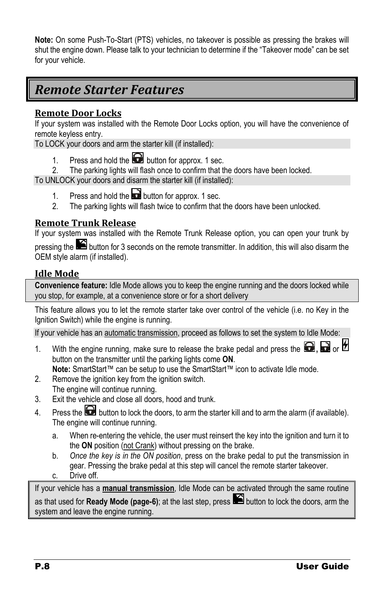**Note:** On some Push-To-Start (PTS) vehicles, no takeover is possible as pressing the brakes will shut the engine down. Please talk to your technician to determine if the "Takeover mode" can be set for your vehicle.

### <span id="page-7-0"></span>*Remote Starter Features*

#### <span id="page-7-1"></span>**Remote Door Locks**

If your system was installed with the Remote Door Locks option, you will have the convenience of remote keyless entry.

To LOCK your doors and arm the starter kill (if installed):

- 1. Press and hold the **b** button for approx. 1 sec.<br>2 The parking lights will flash once to confirm that the
- The parking lights will flash once to confirm that the doors have been locked.

To UNLOCK your doors and disarm the starter kill (if installed):

- 1. Press and hold the **button for approx.** 1 sec.
- 2. The parking lights will flash twice to confirm that the doors have been unlocked.

#### <span id="page-7-2"></span>**Remote Trunk Release**

If your system was installed with the Remote Trunk Release option, you can open your trunk by

pressing the **button for 3** seconds on the remote transmitter. In addition, this will also disarm the OEM style alarm (if installed).

#### <span id="page-7-3"></span>**Idle Mode**

**Convenience feature:** Idle Mode allows you to keep the engine running and the doors locked while you stop, for example, at a convenience store or for a short delivery

This feature allows you to let the remote starter take over control of the vehicle (i.e. no Key in the Ignition Switch) while the engine is running.

If your vehicle has an automatic transmission, proceed as follows to set the system to Idle Mode:

- 1. With the engine running, make sure to release the brake pedal and press the  $\Box$ ,  $\Box$  or  $\Box$ button on the transmitter until the parking lights come **ON**.
- **Note:** SmartStart™ can be setup to use the SmartStart™ icon to activate Idle mode.
- 2. Remove the ignition key from the ignition switch. The engine will continue running.
- 3. Exit the vehicle and close all doors, hood and trunk.
- 4. Press the **b**utton to lock the doors, to arm the starter kill and to arm the alarm (if available). The engine will continue running.
	- a. When re-entering the vehicle, the user must reinsert the key into the ignition and turn it to the **ON** position (not Crank) without pressing on the brake.
	- b. *Once the key is in the ON position*, press on the brake pedal to put the transmission in gear. Pressing the brake pedal at this step will cancel the remote starter takeover.
	- c. Drive off.

If your vehicle has a **manual transmission**, Idle Mode can be activated through the same routine as that used for **Ready Mode (page[-6\)](#page-5-0)**; at the last step, press button to lock the doors, arm the system and leave the engine running.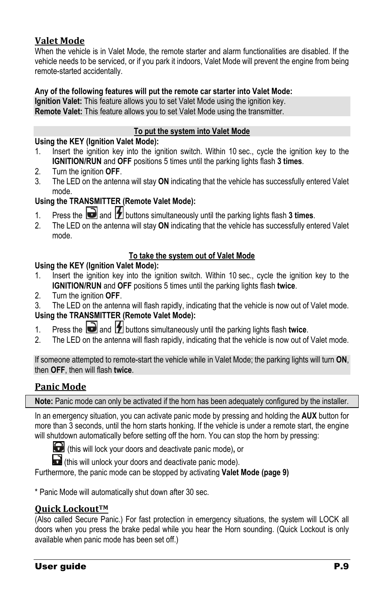#### <span id="page-8-0"></span>**Valet Mode**

When the vehicle is in Valet Mode, the remote starter and alarm functionalities are disabled. If the vehicle needs to be serviced, or if you park it indoors, Valet Mode will prevent the engine from being remote-started accidentally.

#### **Any of the following features will put the remote car starter into Valet Mode:**

**Ignition Valet:** This feature allows you to set Valet Mode using the ignition key. **Remote Valet:** This feature allows you to set Valet Mode using the transmitter.

#### **To put the system into Valet Mode**

#### **Using the KEY (Ignition Valet Mode):**

- 1. Insert the ignition key into the ignition switch. Within 10 sec., cycle the ignition key to the **IGNITION/RUN** and **OFF** positions 5 times until the parking lights flash **3 times**.
- 2. Turn the ignition **OFF**.
- 3. The LED on the antenna will stay **ON** indicating that the vehicle has successfully entered Valet mode.

#### **Using the TRANSMITTER (Remote Valet Mode):**

- 1. Press the **a**nd **1** buttons simultaneously until the parking lights flash **3 times**.
- 2. The LED on the antenna will stay **ON** indicating that the vehicle has successfully entered Valet mode.

#### **To take the system out of Valet Mode**

#### **Using the KEY (Ignition Valet Mode):**

- 1. Insert the ignition key into the ignition switch. Within 10 sec., cycle the ignition key to the **IGNITION/RUN** and **OFF** positions 5 times until the parking lights flash **twice**.
- 2. Turn the ignition **OFF**.
- 3. The LED on the antenna will flash rapidly, indicating that the vehicle is now out of Valet mode.

#### **Using the TRANSMITTER (Remote Valet Mode):**

- 1. Press the **a**nd **1** buttons simultaneously until the parking lights flash twice.
- 2. The LED on the antenna will flash rapidly, indicating that the vehicle is now out of Valet mode.

If someone attempted to remote-start the vehicle while in Valet Mode; the parking lights will turn **ON**, then **OFF**, then will flash **twice**.

#### <span id="page-8-1"></span>**Panic Mode**

**Note:** Panic mode can only be activated if the horn has been adequately configured by the installer.

In an emergency situation, you can activate panic mode by pressing and holding the **AUX** button for more than 3 seconds, until the horn starts honking. If the vehicle is under a remote start, the engine will shutdown automatically before setting off the horn. You can stop the horn by pressing:

(this will lock your doors and deactivate panic mode)**,** or

 $\bullet$  (this will unlock your doors and deactivate panic mode).

Furthermore, the panic mode can be stopped by activating **Valet Mode (page [9\)](#page-8-0)**

\* Panic Mode will automatically shut down after 30 sec.

#### <span id="page-8-2"></span>**Quick LockoutTM**

(Also called Secure Panic.) For fast protection in emergency situations, the system will LOCK all doors when you press the brake pedal while you hear the Horn sounding. (Quick Lockout is only available when panic mode has been set off.)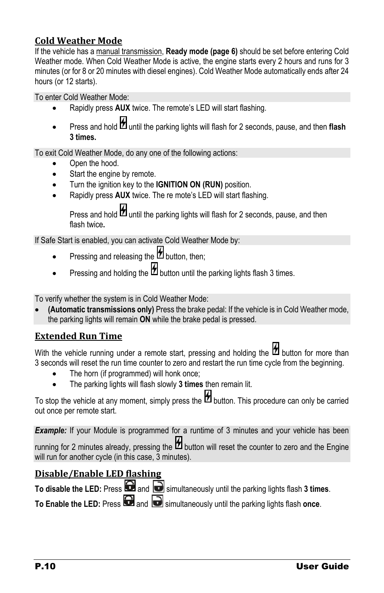#### <span id="page-9-0"></span>**Cold Weather Mode**

If the vehicle has a manual transmission, **Ready mode (page [6\)](#page-5-0)** should be set before entering Cold Weather mode. When Cold Weather Mode is active, the engine starts every 2 hours and runs for 3 minutes (or for 8 or 20 minutes with diesel engines). Cold Weather Mode automatically ends after 24 hours (or 12 starts).

To enter Cold Weather Mode:

- Rapidly press **AUX** twice. The remote's LED will start flashing.
- Press and hold  $\mathcal{H}$  until the parking lights will flash for 2 seconds, pause, and then flash **3 times.**

To exit Cold Weather Mode, do any one of the following actions:

- Open the hood.
- Start the engine by remote.
- Turn the ignition key to the **IGNITION ON (RUN)** position.
- Rapidly press **AUX** twice. The re mote's LED will start flashing.

Press and hold  $\sharp$  until the parking lights will flash for 2 seconds, pause, and then flash twice**.**

If Safe Start is enabled, you can activate Cold Weather Mode by:

- Pressing and releasing the  $\sharp$  button, then:
- Pressing and holding the  $\mathcal H$  button until the parking lights flash 3 times.

To verify whether the system is in Cold Weather Mode:

• **(Automatic transmissions only)** Press the brake pedal: If the vehicle is in Cold Weather mode, the parking lights will remain **ON** while the brake pedal is pressed.

#### <span id="page-9-1"></span>**Extended Run Time**

With the vehicle running under a remote start, pressing and holding the  $\mathfrak b$  button for more than 3 seconds will reset the run time counter to zero and restart the run time cycle from the beginning.

- The horn (if programmed) will honk once;
- The parking lights will flash slowly **3 times** then remain lit.

To stop the vehicle at any moment, simply press the  $\mathcal H$  button. This procedure can only be carried out once per remote start.

**Example:** If your Module is programmed for a runtime of 3 minutes and your vehicle has been

running for 2 minutes already, pressing the  $\mathcal H$  button will reset the counter to zero and the Engine will run for another cycle (in this case, 3 minutes).

#### <span id="page-9-2"></span>**Disable/Enable LED flashing**

To disable the LED: Press **and B** simultaneously until the parking lights flash 3 times.

**To Enable the LED:** Press **and B** simultaneously until the parking lights flash once.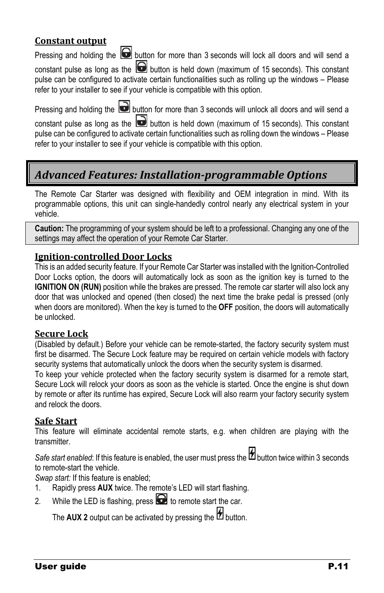#### <span id="page-10-0"></span>**Constant output**

Pressing and holding the  $\Box$  button for more than 3 seconds will lock all doors and will send a

constant pulse as long as the  $\Box$  button is held down (maximum of 15 seconds). This constant pulse can be configured to activate certain functionalities such as rolling up the windows – Please refer to your installer to see if your vehicle is compatible with this option.

Pressing and holding the **button for more than 3 seconds will unlock all doors and will send a** constant pulse as long as the  $\Box$  button is held down (maximum of 15 seconds). This constant pulse can be configured to activate certain functionalities such as rolling down the windows – Please refer to your installer to see if your vehicle is compatible with this option.

### <span id="page-10-1"></span>*Advanced Features: Installation-programmable Options*

The Remote Car Starter was designed with flexibility and OEM integration in mind. With its programmable options, this unit can single-handedly control nearly any electrical system in your vehicle.

**Caution:** The programming of your system should be left to a professional. Changing any one of the settings may affect the operation of your Remote Car Starter.

#### <span id="page-10-2"></span>**Ignition-controlled Door Locks**

This is an added security feature. If your Remote Car Starter was installed with the Ignition-Controlled Door Locks option, the doors will automatically lock as soon as the ignition key is turned to the **IGNITION ON (RUN)** position while the brakes are pressed. The remote car starter will also lock any door that was unlocked and opened (then closed) the next time the brake pedal is pressed (only when doors are monitored). When the key is turned to the **OFF** position, the doors will automatically be unlocked.

#### <span id="page-10-3"></span>**Secure Lock**

(Disabled by default.) Before your vehicle can be remote-started, the factory security system must first be disarmed. The Secure Lock feature may be required on certain vehicle models with factory security systems that automatically unlock the doors when the security system is disarmed.

To keep your vehicle protected when the factory security system is disarmed for a remote start, Secure Lock will relock your doors as soon as the vehicle is started. Once the engine is shut down by remote or after its runtime has expired, Secure Lock will also rearm your factory security system and relock the doors.

#### <span id="page-10-4"></span>**Safe Start**

This feature will eliminate accidental remote starts, e.g. when children are playing with the transmitter.

Safe start enabled: If this feature is enabled, the user must press the **the button twice within 3 seconds** to remote-start the vehicle.

*Swap start:* If this feature is enabled;

- 1. Rapidly press **AUX** twice. The remote's LED will start flashing.
- 2. While the LED is flashing, press  $\bigodot$  to remote start the car.

The **AUX** 2 output can be activated by pressing the  $\mathcal{H}$  button.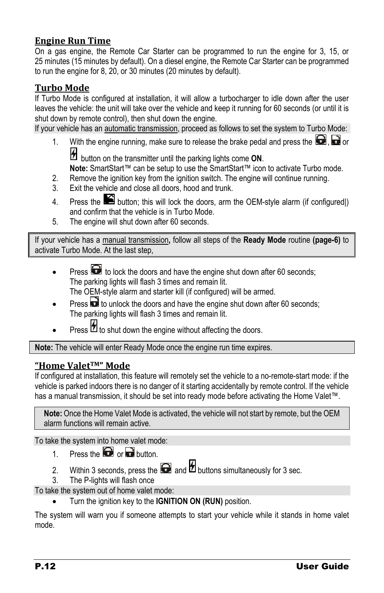#### <span id="page-11-0"></span>**Engine Run Time**

On a gas engine, the Remote Car Starter can be programmed to run the engine for 3, 15, or 25 minutes (15 minutes by default). On a diesel engine, the Remote Car Starter can be programmed to run the engine for 8, 20, or 30 minutes (20 minutes by default).

#### <span id="page-11-1"></span>**Turbo Mode**

If Turbo Mode is configured at installation, it will allow a turbocharger to idle down after the user leaves the vehicle: the unit will take over the vehicle and keep it running for 60 seconds (or until it is shut down by remote control), then shut down the engine.

If your vehicle has an automatic transmission, proceed as follows to set the system to Turbo Mode:

1. With the engine running, make sure to release the brake pedal and press the  $\Box$ .  $\Box$  or

button on the transmitter until the parking lights come **ON**.

**Note:** SmartStart™ can be setup to use the SmartStart™ icon to activate Turbo mode.

- 2. Remove the ignition key from the ignition switch. The engine will continue running.
- 3. Exit the vehicle and close all doors, hood and trunk.
- 4. Press the **button**; this will lock the doors, arm the OEM-style alarm (if configured)) and confirm that the vehicle is in Turbo Mode.
- 5. The engine will shut down after 60 seconds.

If your vehicle has a manual transmission**,** follow all steps of the **Ready Mode** routine **(page[-6\)](#page-5-0)** to activate Turbo Mode. At the last step,

- Press **th** to lock the doors and have the engine shut down after 60 seconds; The parking lights will flash 3 times and remain lit. The OEM-style alarm and starter kill (if configured) will be armed.
- Press **th** to unlock the doors and have the engine shut down after 60 seconds; The parking lights will flash 3 times and remain lit.
- Press  $\mathcal H$  to shut down the engine without affecting the doors.

**Note:** The vehicle will enter Ready Mode once the engine run time expires.

#### <span id="page-11-2"></span>**"Home ValetTM" Mode**

If configured at installation, this feature will remotely set the vehicle to a no-remote-start mode: if the vehicle is parked indoors there is no danger of it starting accidentally by remote control. If the vehicle has a manual transmission, it should be set into ready mode before activating the Home Valet™.

**Note:** Once the Home Valet Mode is activated, the vehicle will not start by remote, but the OEM alarm functions will remain active.

To take the system into home valet mode:

- 1. Press the  $\Box$  or  $\Box$  button.
- 2. Within 3 seconds, press the  $\Box$  and  $\mathcal{H}$  buttons simultaneously for 3 sec.
- 3. The P-lights will flash once

To take the system out of home valet mode:

• Turn the ignition key to the **IGNITION ON (RUN)** position.

The system will warn you if someone attempts to start your vehicle while it stands in home valet mode.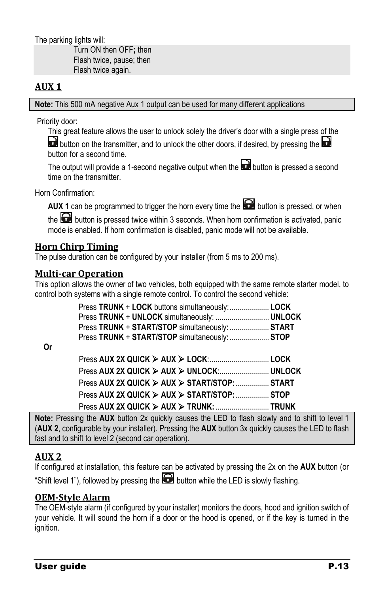The parking lights will:

Turn ON then OFF**;** then Flash twice, pause; then Flash twice again.

#### <span id="page-12-0"></span>**AUX 1**

**Note:** This 500 mA negative Aux 1 output can be used for many different applications

Priority door:

This great feature allows the user to unlock solely the driver's door with a single press of the  $\mathbf d$  button on the transmitter, and to unlock the other doors, if desired, by pressing the  $\mathbf d$ button for a second time.

The output will provide a 1-second negative output when the  $\Box$  button is pressed a second time on the transmitter.

Horn Confirmation:

**AUX 1** can be programmed to trigger the horn every time the **button** is pressed, or when

the  $\Box$  button is pressed twice within 3 seconds. When horn confirmation is activated, panic mode is enabled. If horn confirmation is disabled, panic mode will not be available.

#### <span id="page-12-1"></span>**Horn Chirp Timing**

The pulse duration can be configured by your installer (from 5 ms to 200 ms).

#### <span id="page-12-2"></span>**Multi-car Operation**

This option allows the owner of two vehicles, both equipped with the same remote starter model, to control both systems with a single remote control. To control the second vehicle:

| Press TRUNK + LOCK buttons simultaneously: LOCK |  |
|-------------------------------------------------|--|
| Press TRUNK + UNLOCK simultaneously:  UNLOCK    |  |
| Press TRUNK + START/STOP simultaneously:  START |  |
| Press TRUNK + START/STOP simultaneously: STOP   |  |
|                                                 |  |

**Or**

| Press AUX 2X QUICK > AUX > START/STOP:  START                              |  |
|----------------------------------------------------------------------------|--|
| Press AUX 2X QUICK $\triangleright$ AUX $\triangleright$ START/STOP:  STOP |  |
|                                                                            |  |

**Note:** Pressing the **AUX** button 2x quickly causes the LED to flash slowly and to shift to level 1 (**AUX 2**, configurable by your installer). Pressing the **AUX** button 3x quickly causes the LED to flash fast and to shift to level 2 (second car operation).

#### <span id="page-12-3"></span>**AUX 2**

If configured at installation, this feature can be activated by pressing the 2x on the **AUX** button (or "Shift level 1"), followed by pressing the  $\blacksquare$  button while the LED is slowly flashing.

#### <span id="page-12-4"></span>**OEM-Style Alarm**

The OEM-style alarm (if configured by your installer) monitors the doors, hood and ignition switch of your vehicle. It will sound the horn if a door or the hood is opened, or if the key is turned in the ignition.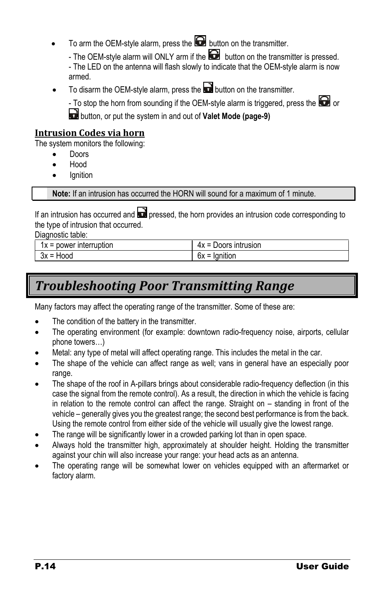- To arm the OEM-style alarm, press the  $\Box$  button on the transmitter.
	- The OEM-style alarm will ONLY arm if the  $\bigodot$  button on the transmitter is pressed.

- The LED on the antenna will flash slowly to indicate that the OEM-style alarm is now armed.

To disarm the OEM-style alarm, press the **button** on the transmitter.

- To stop the horn from sounding if the OEM-style alarm is triggered, press the  $\blacksquare$  or

button, or put the system in and out of **Valet Mode (page[-9\)](#page-8-0)**

#### <span id="page-13-0"></span>**Intrusion Codes via horn**

The system monitors the following:

- Doors
- Hood
- **Ignition**

**Note:** If an intrusion has occurred the HORN will sound for a maximum of 1 minute.

If an intrusion has occurred and  $\Box$  pressed, the horn provides an intrusion code corresponding to the type of intrusion that occurred.

Diagnostic table:

| power<br>1x =<br>∶interruption | Doors intrusion<br>4х<br>$\overline{\phantom{0}}$<br>$\overline{\phantom{0}}$ |
|--------------------------------|-------------------------------------------------------------------------------|
| HOOQ                           | ınıtıor                                                                       |
| 3X =                           | bх                                                                            |

# <span id="page-13-1"></span>*Troubleshooting Poor Transmitting Range*

Many factors may affect the operating range of the transmitter. Some of these are:

- The condition of the battery in the transmitter.
- The operating environment (for example: downtown radio-frequency noise, airports, cellular phone towers…)
- Metal: any type of metal will affect operating range. This includes the metal in the car.
- The shape of the vehicle can affect range as well; vans in general have an especially poor range.
- The shape of the roof in A-pillars brings about considerable radio-frequency deflection (in this case the signal from the remote control). As a result, the direction in which the vehicle is facing in relation to the remote control can affect the range. Straight on – standing in front of the vehicle – generally gives you the greatest range; the second best performance is from the back. Using the remote control from either side of the vehicle will usually give the lowest range.
- The range will be significantly lower in a crowded parking lot than in open space.
- Always hold the transmitter high, approximately at shoulder height. Holding the transmitter against your chin will also increase your range: your head acts as an antenna.
- The operating range will be somewhat lower on vehicles equipped with an aftermarket or factory alarm.